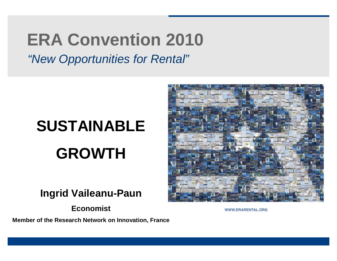# **ERA Convention 2010**

*"New Opportunities for Rental"*

# **SUSTAINABLE GROWTH**

#### **Ingrid Vaileanu-Paun**

**Economist**

**Member of the Research Network on Innovation, France**



WWW.ERARENTAL.ORG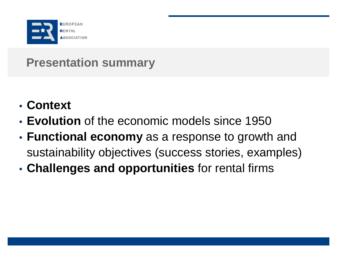

# **Presentation summary**

- **Context**
- **Evolution** of the economic models since 1950
- **Functional economy** as a response to growth and sustainability objectives (success stories, examples)
- **Challenges and opportunities** for rental firms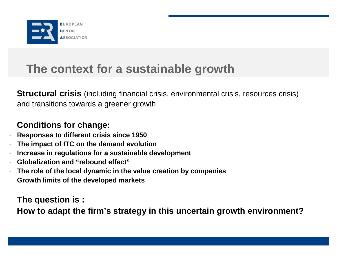

## **The context for a sustainable growth**

**Structural crisis** (including financial crisis, environmental crisis, resources crisis) and transitions towards a greener growth

#### **Conditions for change:**

- **Responses to different crisis since 1950**
- **The impact of ITC on the demand evolution**
- **Increase in regulations for a sustainable development**
- **Globalization and "rebound effect"**
- **The role of the local dynamic in the value creation by companies**
- **Growth limits of the developed markets**

**The question is :** 

**How to adapt the firm's strategy in this uncertain growth environment?**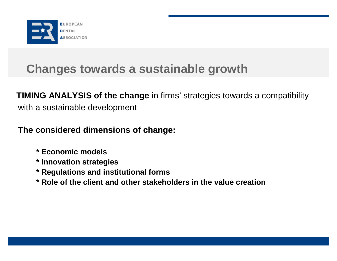

# **Changes towards a sustainable growth**

**TIMING ANALYSIS of the change** in firms' strategies towards a compatibility with a sustainable development

**The considered dimensions of change:**

- **\* Economic models**
- **\* Innovation strategies**
- **\* Regulations and institutional forms**
- **\* Role of the client and other stakeholders in the value creation**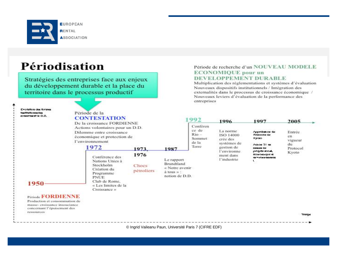

### Périodisation

Stratégies des entreprises face aux enjeux du développement durable et la place du territoire dans le processus productif

Evolution des formes tustitutiounciles concernant is D.D.

1950

ressources

Période FORDIENNE Production et consommation de masse- croissance insouciance concernant l'épuisement des

#### Période de la **CONTESTATION**

De la croissance FORDIENNE Actions volontaires pour un D.D. Dilemme entre croissance économique et protection de l'environnement

#### 1972 1973 1976 Conférence des Nations Unies à Stockholm Création du Programme

**PNUE** Club de Rome. « Les limites de la Croissance »

#### Le rapport Brundtland Chocs « Notre avenir pétroliers à tous » : notion de D.D.

1987

#### Période de recherche d'un NOUVEAU MODELE **ECONOMIQUE** pour un **DEVELOPPEMENT DURABLE**

Multiplication des réglementations et systèmes d'évaluation Nouveaux dispositifs institutionnels / Intégration des externalités dans le processus de croissance économique / Nouveaux leviers d'évaluation de la performance des entreprises

| Conferen<br>ce de<br>$R$ io $-$<br>Sommet<br>de la<br>Terre | La norme<br>ISO 14000<br>crée des<br>systèmes de<br>gestion de<br>l'environne<br>ment dans<br>l'industrie | Poprobasion du<br>Protocole de<br>Кухово<br>Actived 21 earl<br>pattoes de<br>progres soonly<br>dood oddugule ex-<br>es vuosiseisesta. | Entrée<br>en<br>vigueur<br>du<br>Protocol<br>Kvoto |
|-------------------------------------------------------------|-----------------------------------------------------------------------------------------------------------|---------------------------------------------------------------------------------------------------------------------------------------|----------------------------------------------------|

Teurps

© Ingrid Vaileanu Paun, Université Paris 7 (CIFRE EDF)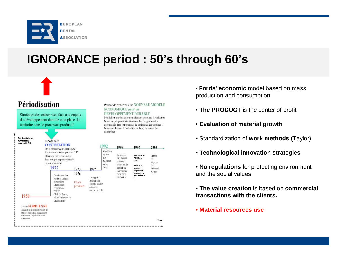

# **IGNORANCE period : 50's through 60's**

Période de recherche d'un NOUVEAU MODELE

Multiplication des réglementations et systèmes d'évaluation

externalités dans le processus de croissance économique /

Nouveaux dispositifs institutionnels / Intégration des

**ECONOMIOUE** pour un **DEVELOPPEMENT DURABLE** 



#### Périodisation

Stratégies des entreprises face aux enjeux du développement durable et la place du territoire dans le processus productif



- **Fords' economic** model based on mass production and consumption
- **The PRODUCT** is the center of profit
- **Evaluation of material growth**
- Standardization of **work methods** (Taylor)
- **Technological innovation strategies**
- **No regulations** for protecting environment and the social values
- **The value creation** is based on **commercial transactions with the clients.**
- **Material resources use**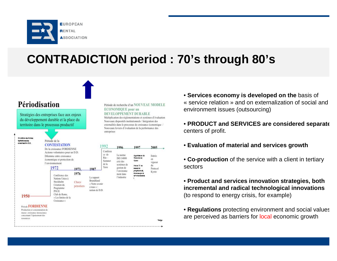

# **CONTRADICTION period : 70's through 80's**



- **Services economy is developed on the** basis of « service relation » and on externalization of social and environment issues (outsourcing)
- **PRODUCT and SERVICES are considered separate** centers of profit.
- **Evaluation of material and services growth**
- **Co-production** of the service with a client in tertiary sectors
- **Product and services innovation strategies, both incremental and radical technological innovations**  (to respond to energy crisis, for example)
- **Regulations** protecting environment and social values are perceived as barriers for local economic growth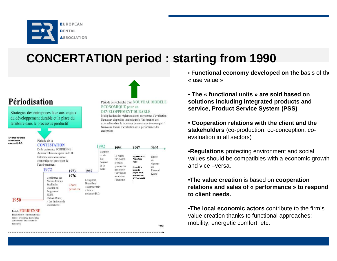

# **CONCERTATION period : starting from 1990**

#### Périodisation

Stratégies des entreprises face aux enjeux du développement durable et la place du territoire dans le processus productif

Evolution des formes thettinticamellos  $error$  is  $D$ ,  $D$ 

Période de la **CONTESTATION** De la croissance FORDIENNE

Actions volontaires pour un D.D. Dilemme entre croissance économique et protection de l'environnement 1972 1973. 1976 Conférence des Nations Unies à Stockholm Chocs Création du pétroliers Programme **PNUE** Club de Rome. « Les limites de la

Période FORDIENNE Production et consommation de

1950

masse- croissance insouciance concernant l'épuisement des ressources

#### Période de recherche d'un NOUVEAU MODELE **ECONOMIQUE** pour un DEVELOPPEMENT DURABLE

Multiplication des réglementations et systèmes d'évaluation Nouveaux dispositifs institutionnels / Intégration des externalités dans le processus de croissance économique / Nouveaux leviers d'évaluation de la performance des entreprises



• **Functional economy developed on the** basis of the « use value »

• **The « functional units » are sold based on solutions including integrated products and service, Product Service System (PSS)**

• **Cooperation relations with the client and the stakeholders** (co-production, co-conception, coevaluation in all sectors)

•**Regulations** protecting environment and social values should be compatibles with a economic growth and vice –versa.

#### •**The value creation** is based on **cooperation relations and sales of « performance » to respond to client needs.**

•**The local economic actors** contribute to the firm's value creation thanks to functional approaches: mobility, energetic comfort, etc.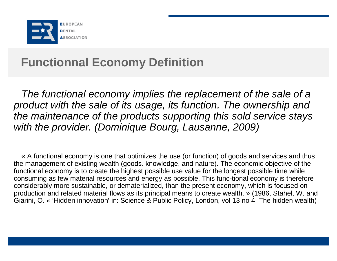

# **Functionnal Economy Definition**

*The functional economy implies the replacement of the sale of a product with the sale of its usage, its function. The ownership and the maintenance of the products supporting this sold service stays with the provider. (Dominique Bourg, Lausanne, 2009)*

« A functional economy is one that optimizes the use (or function) of goods and services and thus the management of existing wealth (goods. knowledge, and nature). The economic objective of the functional economy is to create the highest possible use value for the longest possible time while consuming as few material resources and energy as possible. This func-tional economy is therefore considerably more sustainable, or dematerialized, than the present economy, which is focused on production and related material flows as its principal means to create wealth. » (1986, Stahel, W. and Giarini, O. « 'Hidden innovation' in: Science & Public Policy, London, vol 13 no 4, The hidden wealth)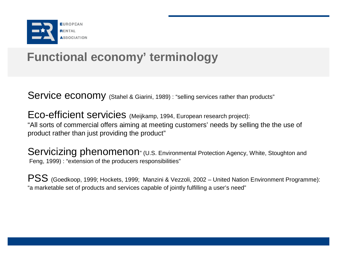

# **Functional economy' terminology**

Service economy (Stahel & Giarini, 1989) : "selling services rather than products"

Eco-efficient servicies (Meijkamp, 1994, European research project): "All sorts of commercial offers aiming at meeting customers' needs by selling the the use of product rather than just providing the product"

Servicizing phenomenon" (U.S. Environmental Protection Agency, White, Stoughton and Feng, 1999) : "extension of the producers responsibilities"

PSS (Goedkoop, 1999; Hockets, 1999; Manzini & Vezzoli, 2002 – United Nation Environment Programme): "a marketable set of products and services capable of jointly fulfilling a user's need"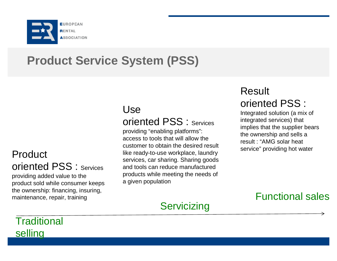

# **Product Service System (PSS)**

#### Product oriented PSS : Services providing added value to the product sold while consumer keeps the ownership: financing, insuring, maintenance, repair, training

### Use

### oriented PSS : Services

providing "enabling platforms": access to tools that will allow the customer to obtain the desired result like ready-to-use workplace, laundry services, car sharing. Sharing goods and tools can reduce manufactured products while meeting the needs of a given population

### **Servicizing**

# Result

#### oriented PSS :

Integrated solution (a mix of integrated services) that implies that the supplier bears the ownership and sells a result : "AMG solar heat service" providing hot water

### Functional sales

### **Traditional** selling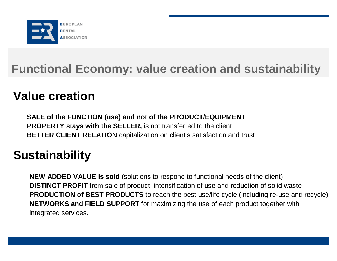

# **Functional Economy: value creation and sustainability**

## **Value creation**

**SALE of the FUNCTION (use) and not of the PRODUCT/EQUIPMENT PROPERTY stays with the SELLER,** is not transferred to the client **BETTER CLIENT RELATION** capitalization on client's satisfaction and trust

# **Sustainability**

**NEW ADDED VALUE is sold** (solutions to respond to functional needs of the client) **DISTINCT PROFIT** from sale of product, intensification of use and reduction of solid waste **PRODUCTION of BEST PRODUCTS** to reach the best use/life cycle (including re-use and recycle) **NETWORKS and FIELD SUPPORT** for maximizing the use of each product together with integrated services.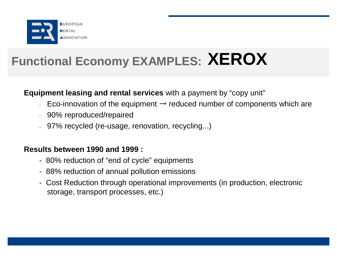

# **Functional Economy EXAMPLES: XEROX**

#### **Equipment leasing and rental services** with a payment by "copy unit"

- Eco-innovation of the equipment  $\rightarrow$  reduced number of components which are
- 90% reproduced/repaired
- 97% recycled (re-usage, renovation, recycling...)

#### **Results between 1990 and 1999 :**

- 80% reduction of "end of cycle" equipments
- 88% reduction of annual pollution emissions
- Cost Reduction through operational improvements (in production, electronic storage, transport processes, etc.)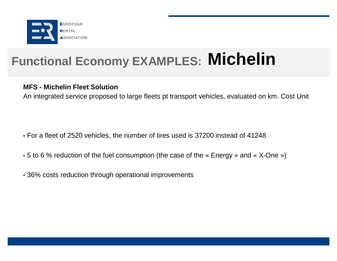

# **Functional Economy EXAMPLES: Michelin**

#### **MFS - Michelin Fleet Solution**

An integrated service proposed to large fleets pt transport vehicles, evaluated on km. Cost Unit

- For a fleet of 2520 vehicles, the number of tires used is 37200 instead of 41248
- 5 to 6 % reduction of the fuel consumption (the case of the « Energy » and « X-One »)
- 36% costs reduction through operational improvements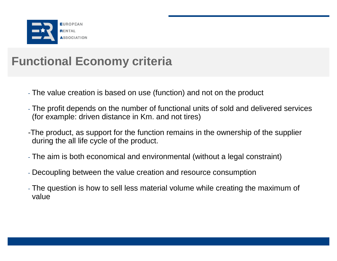

# **Functional Economy criteria**

- The value creation is based on use (function) and not on the product
- The profit depends on the number of functional units of sold and delivered services (for example: driven distance in Km. and not tires)
- -The product, as support for the function remains in the ownership of the supplier during the all life cycle of the product.
- The aim is both economical and environmental (without a legal constraint)
- Decoupling between the value creation and resource consumption
- The question is how to sell less material volume while creating the maximum of value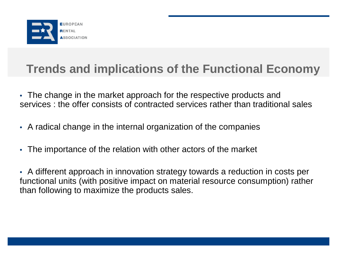

## **Trends and implications of the Functional Economy**

- The change in the market approach for the respective products and services : the offer consists of contracted services rather than traditional sales
- A radical change in the internal organization of the companies
- The importance of the relation with other actors of the market

• A different approach in innovation strategy towards a reduction in costs per functional units (with positive impact on material resource consumption) rather than following to maximize the products sales.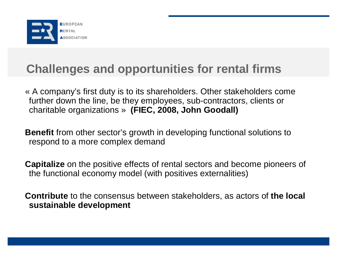

# **Challenges and opportunities for rental firms**

« A company's first duty is to its shareholders. Other stakeholders come further down the line, be they employees, sub-contractors, clients or charitable organizations » **(FIEC, 2008, John Goodall)**

**Benefit** from other sector's growth in developing functional solutions to respond to a more complex demand

**Capitalize** on the positive effects of rental sectors and become pioneers of the functional economy model (with positives externalities)

**Contribute** to the consensus between stakeholders, as actors of **the local sustainable development**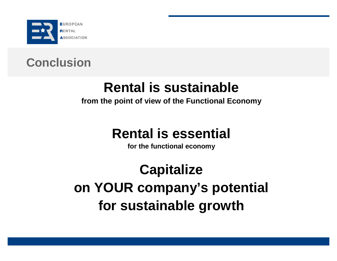

# **Conclusion**

# **Rental is sustainable**

#### **from the point of view of the Functional Economy**

# **Rental is essential**

**for the functional economy**

**Capitalize on YOUR company's potential for sustainable growth**